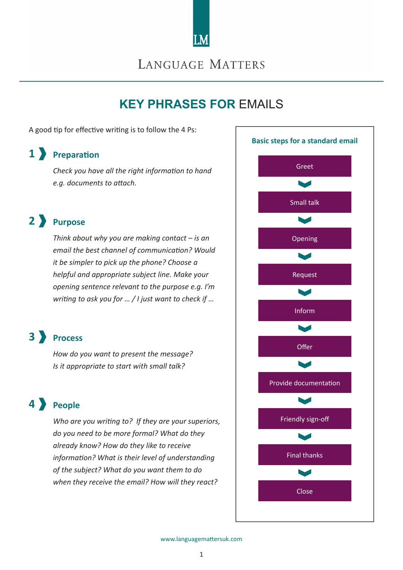

# LANGUAGE MATTERS

# **KEY PHRASES FOR** EMAILS

A good tip for effective writing is to follow the 4 Ps:

# **1 Preparation**

*Check you have all the right information to hand e.g. documents to attach.*

# **2 Purpose**

*Think about why you are making contact – is an email the best channel of communication? Would it be simpler to pick up the phone? Choose a helpful and appropriate subject line. Make your opening sentence relevant to the purpose e.g. I'm writing to ask you for … / I just want to check if …*

# **3 Process**

*How do you want to present the message? Is it appropriate to start with small talk?*

# **4 People**

*Who are you writing to? If they are your superiors, do you need to be more formal? What do they already know? How do they like to receive information? What is their level of understanding of the subject? What do you want them to do when they receive the email? How will they react?*

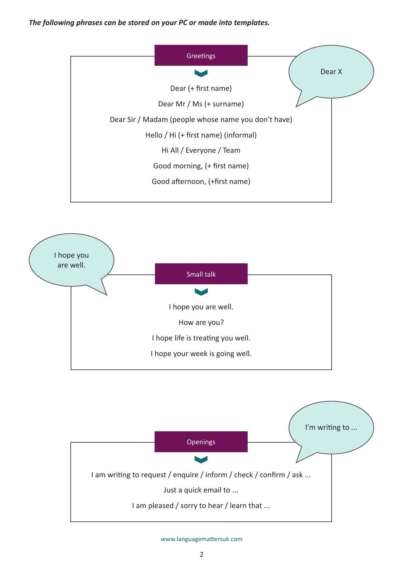### *The following phrases can be stored on your PC or made into templates.*





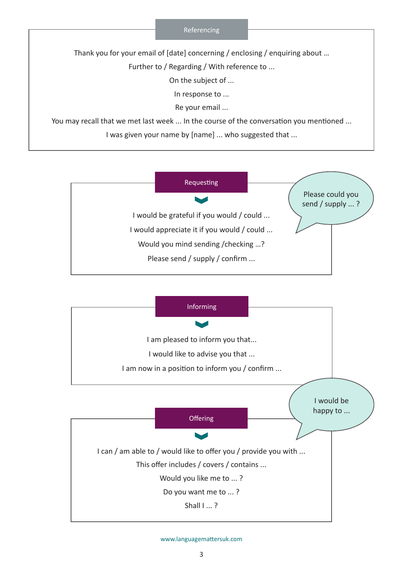#### Referencing

Thank you for your email of [date] concerning / enclosing / enquiring about …

Further to / Regarding / With reference to ...

On the subject of ...

In response to ...

Re your email ...

You may recall that we met last week ... In the course of the conversation you mentioned ...

I was given your name by [name] ... who suggested that ...



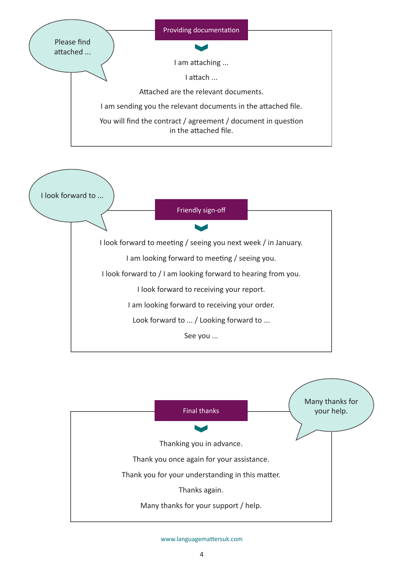



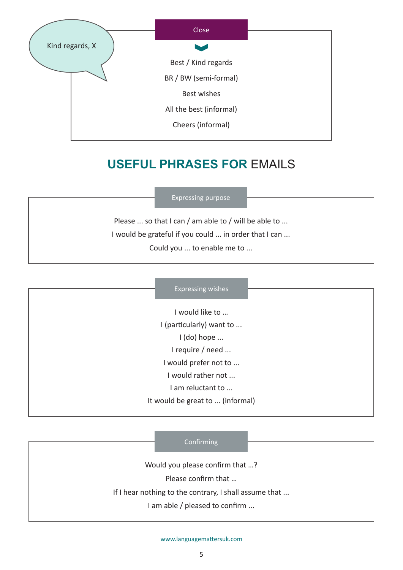

# **USEFUL PHRASES FOR** EMAILS

### Expressing purpose

Please ... so that I can / am able to / will be able to ... I would be grateful if you could ... in order that I can ... Could you ... to enable me to ...

#### Expressing wishes

I would like to … I (particularly) want to ... I (do) hope ... I require / need ... I would prefer not to ... I would rather not ... I am reluctant to ... It would be great to ... (informal)

### **Confirming**

Would you please confirm that …?

Please confirm that …

If I hear nothing to the contrary, I shall assume that ...

I am able / pleased to confirm ...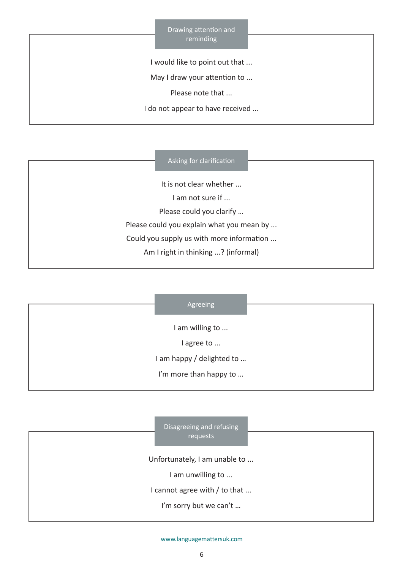Drawing attention and reminding

I would like to point out that ...

May I draw your attention to ...

Please note that ...

I do not appear to have received ...

#### Asking for clarification

It is not clear whether ... I am not sure if ... Please could you clarify … Please could you explain what you mean by ... Could you supply us with more information ... Am I right in thinking ...? (informal)

#### Agreeing

I am willing to ...

I agree to ...

I am happy / delighted to …

I'm more than happy to ...

Disagreeing and refusing requests

Unfortunately, I am unable to ...

I am unwilling to ...

I cannot agree with / to that ...

I'm sorry but we can't ...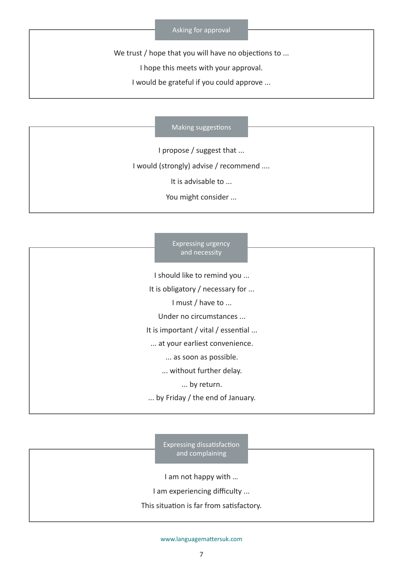We trust / hope that you will have no objections to ...

I hope this meets with your approval.

I would be grateful if you could approve ...

#### Making suggestions

I propose / suggest that ...

I would (strongly) advise / recommend ....

It is advisable to ...

You might consider ...

| <b>Expressing urgency</b><br>and necessity |  |
|--------------------------------------------|--|
| I should like to remind you                |  |
| It is obligatory / necessary for           |  |
| I must / have to                           |  |
| Under no circumstances                     |  |
| It is important / vital / essential        |  |
| at your earliest convenience.              |  |
| as soon as possible.                       |  |
| without further delay.                     |  |
| by return.                                 |  |
| by Friday / the end of January.            |  |
|                                            |  |

Expressing dissatisfaction and complaining

I am not happy with …

I am experiencing difficulty ...

This situation is far from satisfactory.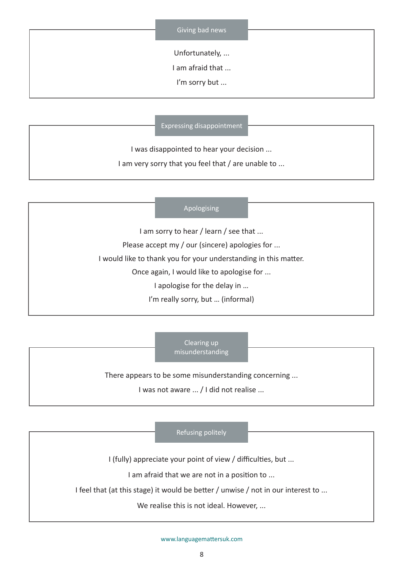Unfortunately, ...

I am afraid that ...

I'm sorry but ...

Expressing disappointment

I was disappointed to hear your decision ...

I am very sorry that you feel that / are unable to ...

### Apologising

I am sorry to hear / learn / see that ...

Please accept my / our (sincere) apologies for ...

I would like to thank you for your understanding in this matter.

Once again, I would like to apologise for ...

I apologise for the delay in …

I'm really sorry, but … (informal)

Clearing up misunderstanding

There appears to be some misunderstanding concerning ...

I was not aware ... / I did not realise ...

Refusing politely

I (fully) appreciate your point of view / difficulties, but ...

I am afraid that we are not in a position to ...

I feel that (at this stage) it would be better / unwise / not in our interest to ...

We realise this is not ideal. However, ...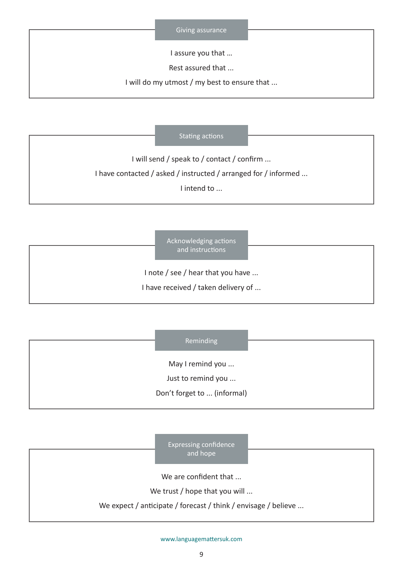I assure you that …

Rest assured that ...

I will do my utmost / my best to ensure that ...

#### Stating actions

I will send / speak to / contact / confirm ... I have contacted / asked / instructed / arranged for / informed ...

I intend to ...

Acknowledging actions and instructions

I note / see / hear that you have ...

I have received / taken delivery of ...

### Reminding

May I remind you ...

Just to remind you ...

Don't forget to ... (informal)

Expressing confidence and hope

We are confident that ...

We trust / hope that you will ...

We expect / anticipate / forecast / think / envisage / believe ...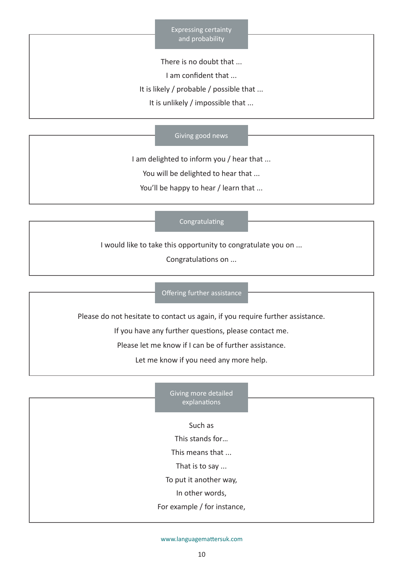Expressing certainty and probability

There is no doubt that ...

I am confident that ...

It is likely / probable / possible that ...

It is unlikely / impossible that ...

### Giving good news

I am delighted to inform you / hear that ...

You will be delighted to hear that ...

You'll be happy to hear / learn that ...

### Congratulating

I would like to take this opportunity to congratulate you on ...

Congratulations on ...

### Offering further assistance

Please do not hesitate to contact us again, if you require further assistance.

If you have any further questions, please contact me.

Please let me know if I can be of further assistance.

Let me know if you need any more help.

the control of the control of the control of the control of

| Giving more detailed   |
|------------------------|
| explanations           |
|                        |
| Such as                |
| This stands for        |
| This means that        |
| That is to say         |
| To put it another way, |
|                        |

In other words,

For example / for instance,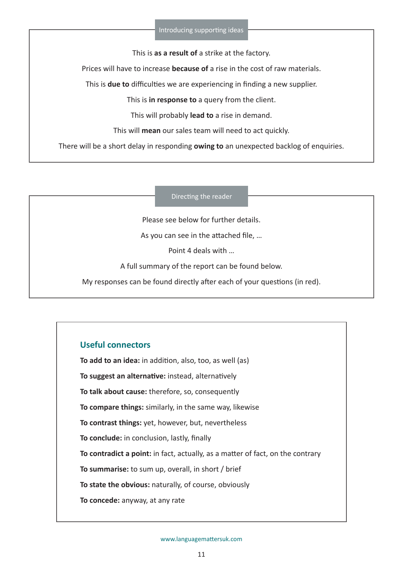This is **as a result of** a strike at the factory.

Prices will have to increase **because of** a rise in the cost of raw materials.

This is **due to** difficulties we are experiencing in finding a new supplier.

This is **in response to** a query from the client.

This will probably **lead to** a rise in demand.

This will **mean** our sales team will need to act quickly.

There will be a short delay in responding **owing to** an unexpected backlog of enquiries.

Directing the reader

Please see below for further details.

As you can see in the attached file, …

Point 4 deals with …

A full summary of the report can be found below.

My responses can be found directly after each of your questions (in red).

## **Useful connectors**

**To add to an idea:** in addition, also, too, as well (as) **To suggest an alternative:** instead, alternatively **To talk about cause:** therefore, so, consequently **To compare things:** similarly, in the same way, likewise **To contrast things:** yet, however, but, nevertheless **To conclude:** in conclusion, lastly, finally **To contradict a point:** in fact, actually, as a matter of fact, on the contrary **To summarise:** to sum up, overall, in short / brief **To state the obvious:** naturally, of course, obviously **To concede:** anyway, at any rate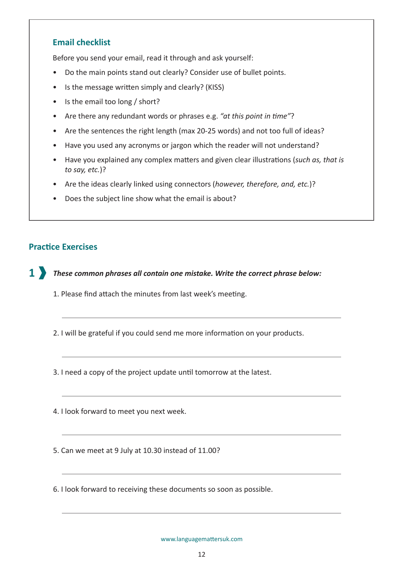## **Email checklist**

Before you send your email, read it through and ask yourself:

- Do the main points stand out clearly? Consider use of bullet points.
- Is the message written simply and clearly? (KISS)
- Is the email too long / short?
- Are there any redundant words or phrases e.g. *"at this point in time"*?
- Are the sentences the right length (max 20-25 words) and not too full of ideas?
- Have you used any acronyms or jargon which the reader will not understand?
- Have you explained any complex matters and given clear illustrations (*such as, that is to say, etc.*)?
- Are the ideas clearly linked using connectors (*however, therefore, and, etc.*)?
- Does the subject line show what the email is about?

## **Practice Exercises**

*These common phrases all contain one mistake. Write the correct phrase below:* **1**

- 1. Please find attach the minutes from last week's meeting.
- 2. I will be grateful if you could send me more information on your products.

3. I need a copy of the project update until tomorrow at the latest.

4. I look forward to meet you next week.

5. Can we meet at 9 July at 10.30 instead of 11.00?

6. I look forward to receiving these documents so soon as possible.